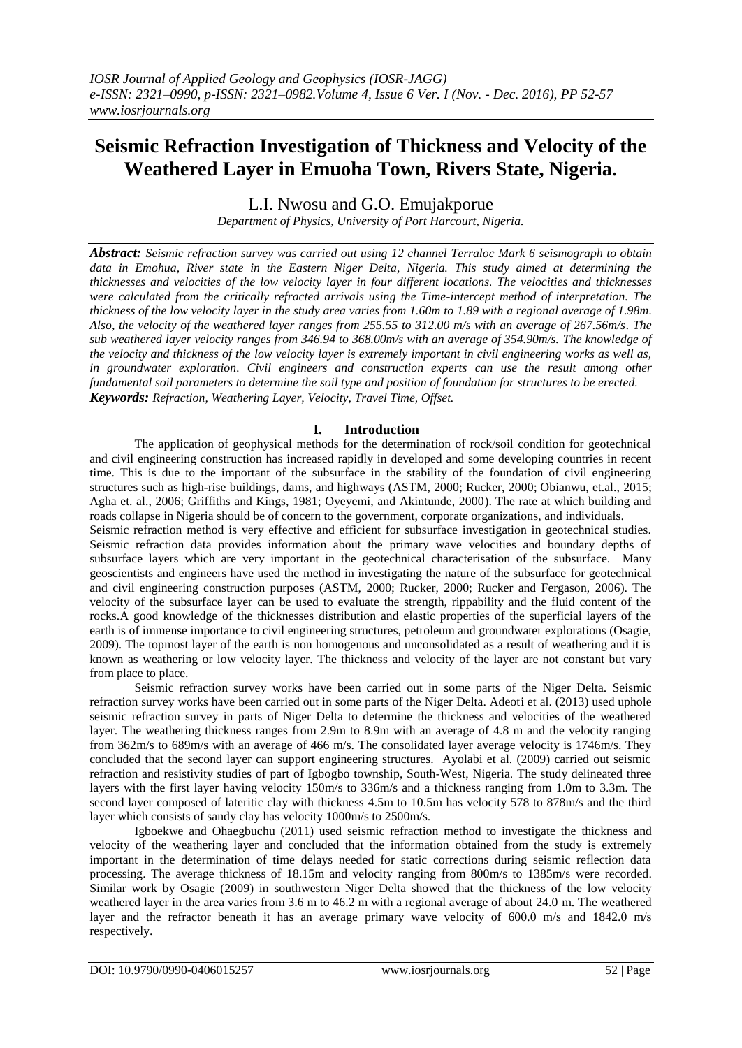# **Seismic Refraction Investigation of Thickness and Velocity of the Weathered Layer in Emuoha Town, Rivers State, Nigeria.**

L.I. Nwosu and G.O. Emujakporue

*Department of Physics, University of Port Harcourt, Nigeria.*

*Abstract: Seismic refraction survey was carried out using 12 channel Terraloc Mark 6 seismograph to obtain data in Emohua, River state in the Eastern Niger Delta, Nigeria. This study aimed at determining the thicknesses and velocities of the low velocity layer in four different locations. The velocities and thicknesses were calculated from the critically refracted arrivals using the Time-intercept method of interpretation. The thickness of the low velocity layer in the study area varies from 1.60m to 1.89 with a regional average of 1.98m. Also, the velocity of the weathered layer ranges from 255.55 to 312.00 m/s with an average of 267.56m/s. The sub weathered layer velocity ranges from 346.94 to 368.00m/s with an average of 354.90m/s. The knowledge of the velocity and thickness of the low velocity layer is extremely important in civil engineering works as well as, in groundwater exploration. Civil engineers and construction experts can use the result among other fundamental soil parameters to determine the soil type and position of foundation for structures to be erected. Keywords: Refraction, Weathering Layer, Velocity, Travel Time, Offset.*

## **I. Introduction**

The application of geophysical methods for the determination of rock/soil condition for geotechnical and civil engineering construction has increased rapidly in developed and some developing countries in recent time. This is due to the important of the subsurface in the stability of the foundation of civil engineering structures such as high-rise buildings, dams, and highways (ASTM, 2000; Rucker, 2000; Obianwu, et.al., 2015; Agha et. al., 2006; Griffiths and Kings, 1981; Oyeyemi, and Akintunde, 2000). The rate at which building and roads collapse in Nigeria should be of concern to the government, corporate organizations, and individuals.

Seismic refraction method is very effective and efficient for subsurface investigation in geotechnical studies. Seismic refraction data provides information about the primary wave velocities and boundary depths of subsurface layers which are very important in the geotechnical characterisation of the subsurface. Many geoscientists and engineers have used the method in investigating the nature of the subsurface for geotechnical and civil engineering construction purposes (ASTM, 2000; Rucker, 2000; Rucker and Fergason, 2006). The velocity of the subsurface layer can be used to evaluate the strength, rippability and the fluid content of the rocks.A good knowledge of the thicknesses distribution and elastic properties of the superficial layers of the earth is of immense importance to civil engineering structures, petroleum and groundwater explorations (Osagie, 2009). The topmost layer of the earth is non homogenous and unconsolidated as a result of weathering and it is known as weathering or low velocity layer. The thickness and velocity of the layer are not constant but vary from place to place.

Seismic refraction survey works have been carried out in some parts of the Niger Delta. Seismic refraction survey works have been carried out in some parts of the Niger Delta. Adeoti et al. (2013) used uphole seismic refraction survey in parts of Niger Delta to determine the thickness and velocities of the weathered layer. The weathering thickness ranges from 2.9m to 8.9m with an average of 4.8 m and the velocity ranging from 362m/s to 689m/s with an average of 466 m/s. The consolidated layer average velocity is 1746m/s. They concluded that the second layer can support engineering structures. Ayolabi et al. (2009) carried out seismic refraction and resistivity studies of part of Igbogbo township, South-West, Nigeria. The study delineated three layers with the first layer having velocity 150m/s to 336m/s and a thickness ranging from 1.0m to 3.3m. The second layer composed of lateritic clay with thickness 4.5m to 10.5m has velocity 578 to 878m/s and the third layer which consists of sandy clay has velocity 1000m/s to 2500m/s.

Igboekwe and Ohaegbuchu (2011) used seismic refraction method to investigate the thickness and velocity of the weathering layer and concluded that the information obtained from the study is extremely important in the determination of time delays needed for static corrections during seismic reflection data processing. The average thickness of 18.15m and velocity ranging from 800m/s to 1385m/s were recorded. Similar work by Osagie (2009) in southwestern Niger Delta showed that the thickness of the low velocity weathered layer in the area varies from 3.6 m to 46.2 m with a regional average of about 24.0 m. The weathered layer and the refractor beneath it has an average primary wave velocity of 600.0 m/s and 1842.0 m/s respectively.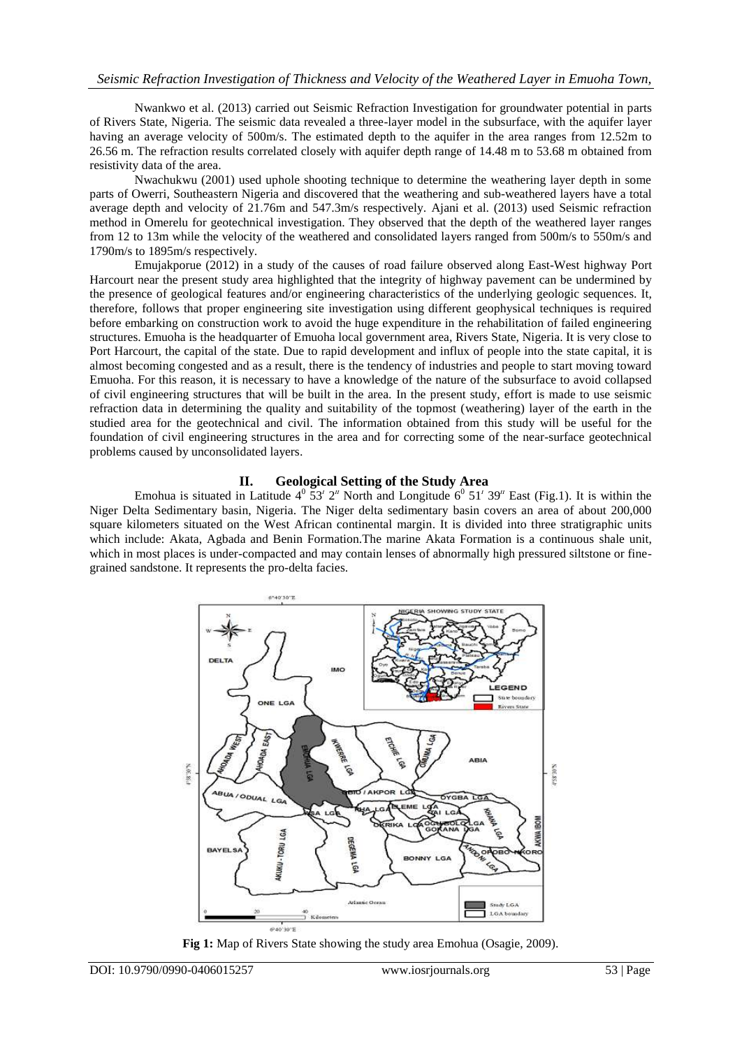Nwankwo et al. (2013) carried out Seismic Refraction Investigation for groundwater potential in parts of Rivers State, Nigeria. The seismic data revealed a three-layer model in the subsurface, with the aquifer layer having an average velocity of 500m/s. The estimated depth to the aquifer in the area ranges from 12.52m to 26.56 m. The refraction results correlated closely with aquifer depth range of 14.48 m to 53.68 m obtained from resistivity data of the area.

Nwachukwu (2001) used uphole shooting technique to determine the weathering layer depth in some parts of Owerri, Southeastern Nigeria and discovered that the weathering and sub-weathered layers have a total average depth and velocity of 21.76m and 547.3m/s respectively. Ajani et al. (2013) used Seismic refraction method in Omerelu for geotechnical investigation. They observed that the depth of the weathered layer ranges from 12 to 13m while the velocity of the weathered and consolidated layers ranged from 500m/s to 550m/s and 1790m/s to 1895m/s respectively.

Emujakporue (2012) in a study of the causes of road failure observed along East-West highway Port Harcourt near the present study area highlighted that the integrity of highway pavement can be undermined by the presence of geological features and/or engineering characteristics of the underlying geologic sequences. It, therefore, follows that proper engineering site investigation using different geophysical techniques is required before embarking on construction work to avoid the huge expenditure in the rehabilitation of failed engineering structures. Emuoha is the headquarter of Emuoha local government area, Rivers State, Nigeria. It is very close to Port Harcourt, the capital of the state. Due to rapid development and influx of people into the state capital, it is almost becoming congested and as a result, there is the tendency of industries and people to start moving toward Emuoha. For this reason, it is necessary to have a knowledge of the nature of the subsurface to avoid collapsed of civil engineering structures that will be built in the area. In the present study, effort is made to use seismic refraction data in determining the quality and suitability of the topmost (weathering) layer of the earth in the studied area for the geotechnical and civil. The information obtained from this study will be useful for the foundation of civil engineering structures in the area and for correcting some of the near-surface geotechnical problems caused by unconsolidated layers.

### **II. Geological Setting of the Study Area**

Emohua is situated in Latitude  $4^{\circ}$  53<sup>*i*</sup> 2<sup>*n*</sup> North and Longitude 6<sup>0</sup> 51<sup>*i*</sup> 39<sup>*n*</sup> East (Fig.1). It is within the Niger Delta Sedimentary basin, Nigeria. The Niger delta sedimentary basin covers an area of about 200,000 square kilometers situated on the West African continental margin. It is divided into three stratigraphic units which include: Akata, Agbada and Benin Formation.The marine Akata Formation is a continuous shale unit, which in most places is under-compacted and may contain lenses of abnormally high pressured siltstone or finegrained sandstone. It represents the pro-delta facies.



**Fig 1:** Map of Rivers State showing the study area Emohua (Osagie, 2009).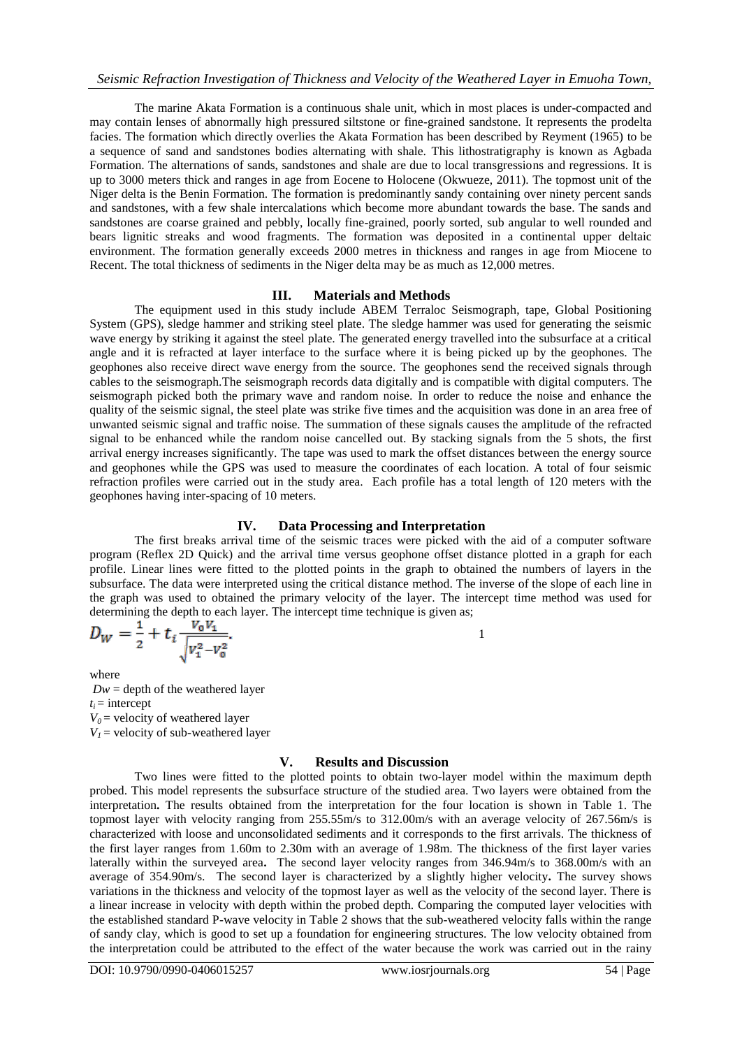The marine Akata Formation is a continuous shale unit, which in most places is under-compacted and may contain lenses of abnormally high pressured siltstone or fine-grained sandstone. It represents the prodelta facies. The formation which directly overlies the Akata Formation has been described by Reyment (1965) to be a sequence of sand and sandstones bodies alternating with shale. This lithostratigraphy is known as Agbada Formation. The alternations of sands, sandstones and shale are due to local transgressions and regressions. It is up to 3000 meters thick and ranges in age from Eocene to Holocene (Okwueze, 2011). The topmost unit of the Niger delta is the Benin Formation. The formation is predominantly sandy containing over ninety percent sands and sandstones, with a few shale intercalations which become more abundant towards the base. The sands and sandstones are coarse grained and pebbly, locally fine-grained, poorly sorted, sub angular to well rounded and bears lignitic streaks and wood fragments. The formation was deposited in a continental upper deltaic environment. The formation generally exceeds 2000 metres in thickness and ranges in age from Miocene to Recent. The total thickness of sediments in the Niger delta may be as much as 12,000 metres.

### **III. Materials and Methods**

The equipment used in this study include ABEM Terraloc Seismograph, tape, Global Positioning System (GPS), sledge hammer and striking steel plate. The sledge hammer was used for generating the seismic wave energy by striking it against the steel plate. The generated energy travelled into the subsurface at a critical angle and it is refracted at layer interface to the surface where it is being picked up by the geophones. The geophones also receive direct wave energy from the source. The geophones send the received signals through cables to the seismograph.The seismograph records data digitally and is compatible with digital computers. The seismograph picked both the primary wave and random noise. In order to reduce the noise and enhance the quality of the seismic signal, the steel plate was strike five times and the acquisition was done in an area free of unwanted seismic signal and traffic noise. The summation of these signals causes the amplitude of the refracted signal to be enhanced while the random noise cancelled out. By stacking signals from the 5 shots, the first arrival energy increases significantly. The tape was used to mark the offset distances between the energy source and geophones while the GPS was used to measure the coordinates of each location. A total of four seismic refraction profiles were carried out in the study area. Each profile has a total length of 120 meters with the geophones having inter-spacing of 10 meters.

#### **IV. Data Processing and Interpretation**

The first breaks arrival time of the seismic traces were picked with the aid of a computer software program (Reflex 2D Quick) and the arrival time versus geophone offset distance plotted in a graph for each profile. Linear lines were fitted to the plotted points in the graph to obtained the numbers of layers in the subsurface. The data were interpreted using the critical distance method. The inverse of the slope of each line in the graph was used to obtained the primary velocity of the layer. The intercept time method was used for determining the depth to each layer. The intercept time technique is given as;

$$
D_W = \frac{1}{2} + t_i \frac{V_0 V_1}{\sqrt{V_1^2 - V_0^2}}.
$$

 $1$ 

where  $Dw =$  depth of the weathered layer  $t_i$  = intercept  $V_0$  = velocity of weathered layer  $V_1$  = velocity of sub-weathered layer

## **V. Results and Discussion**

Two lines were fitted to the plotted points to obtain two-layer model within the maximum depth probed. This model represents the subsurface structure of the studied area. Two layers were obtained from the interpretation**.** The results obtained from the interpretation for the four location is shown in Table 1. The topmost layer with velocity ranging from 255.55m/s to 312.00m/s with an average velocity of 267.56m/s is characterized with loose and unconsolidated sediments and it corresponds to the first arrivals. The thickness of the first layer ranges from 1.60m to 2.30m with an average of 1.98m. The thickness of the first layer varies laterally within the surveyed area**.** The second layer velocity ranges from 346.94m/s to 368.00m/s with an average of 354.90m/s. The second layer is characterized by a slightly higher velocity**.** The survey shows variations in the thickness and velocity of the topmost layer as well as the velocity of the second layer. There is a linear increase in velocity with depth within the probed depth. Comparing the computed layer velocities with the established standard P-wave velocity in Table 2 shows that the sub-weathered velocity falls within the range of sandy clay, which is good to set up a foundation for engineering structures. The low velocity obtained from the interpretation could be attributed to the effect of the water because the work was carried out in the rainy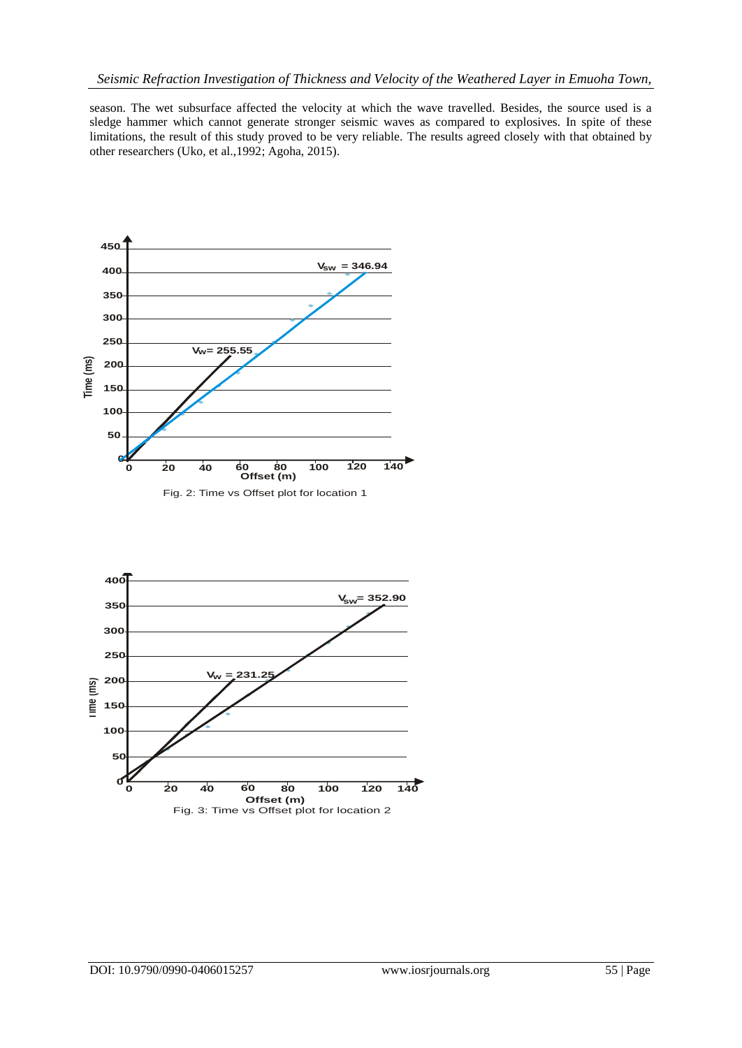season. The wet subsurface affected the velocity at which the wave travelled. Besides, the source used is a sledge hammer which cannot generate stronger seismic waves as compared to explosives. In spite of these limitations, the result of this study proved to be very reliable. The results agreed closely with that obtained by other researchers (Uko, et al.,1992; Agoha, 2015).



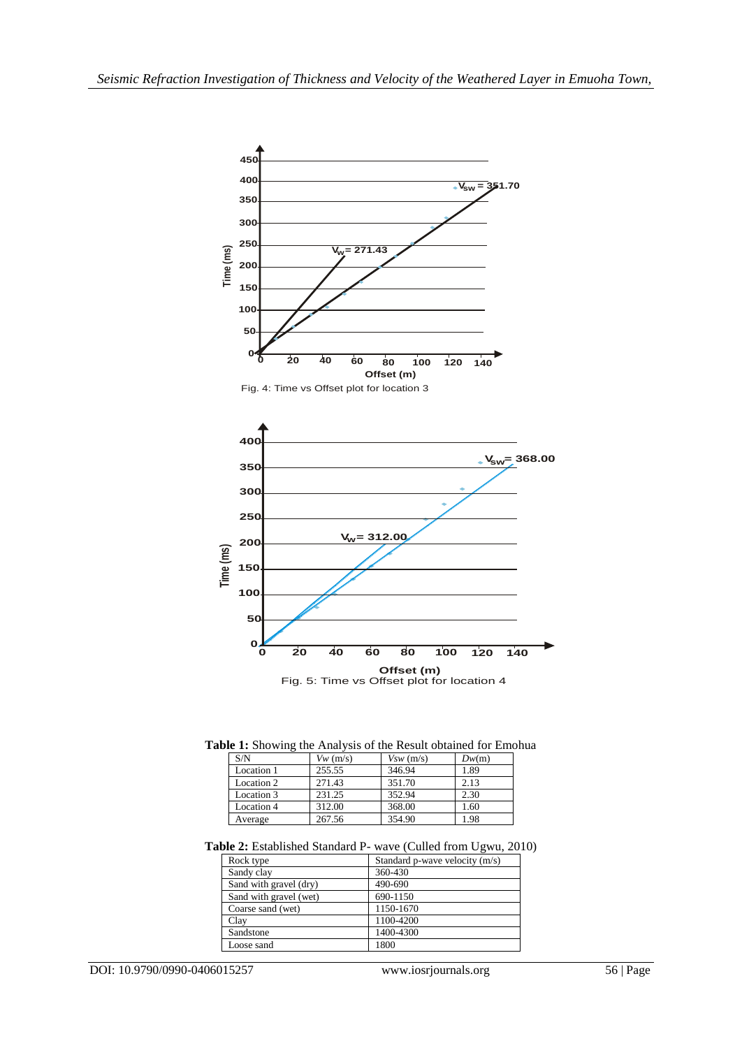

**Table 1:** Showing the Analysis of the Result obtained for Emohua

| S/N        | $Vw$ (m/s) | Vsw(m/s) | Dw(m) |
|------------|------------|----------|-------|
| Location 1 | 255.55     | 346.94   | 1.89  |
| Location 2 | 271.43     | 351.70   | 2.13  |
| Location 3 | 231.25     | 352.94   | 2.30  |
| Location 4 | 312.00     | 368.00   | 1.60  |
| Average    | 267.56     | 354.90   | 1.98  |

**Table 2:** Established Standard P- wave (Culled from Ugwu, 2010)

| Rock type              | Standard p-wave velocity (m/s) |  |
|------------------------|--------------------------------|--|
| Sandy clay             | 360-430                        |  |
| Sand with gravel (dry) | 490-690                        |  |
| Sand with gravel (wet) | 690-1150                       |  |
| Coarse sand (wet)      | 1150-1670                      |  |
| Clay                   | 1100-4200                      |  |
| Sandstone              | 1400-4300                      |  |
| Loose sand             | 1800                           |  |